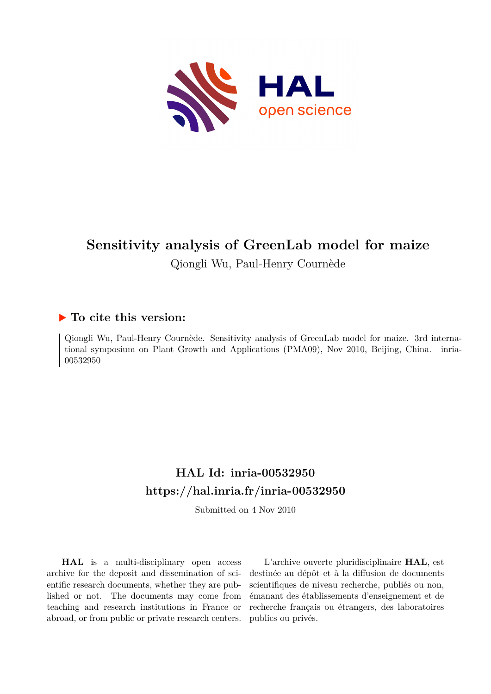

# **Sensitivity analysis of GreenLab model for maize** Qiongli Wu, Paul-Henry Cournède

# **To cite this version:**

Qiongli Wu, Paul-Henry Cournède. Sensitivity analysis of GreenLab model for maize. 3rd international symposium on Plant Growth and Applications (PMA09), Nov 2010, Beijing, China. inria-00532950ff

# **HAL Id: inria-00532950 <https://hal.inria.fr/inria-00532950>**

Submitted on 4 Nov 2010

**HAL** is a multi-disciplinary open access archive for the deposit and dissemination of scientific research documents, whether they are published or not. The documents may come from teaching and research institutions in France or abroad, or from public or private research centers.

L'archive ouverte pluridisciplinaire **HAL**, est destinée au dépôt et à la diffusion de documents scientifiques de niveau recherche, publiés ou non, émanant des établissements d'enseignement et de recherche français ou étrangers, des laboratoires publics ou privés.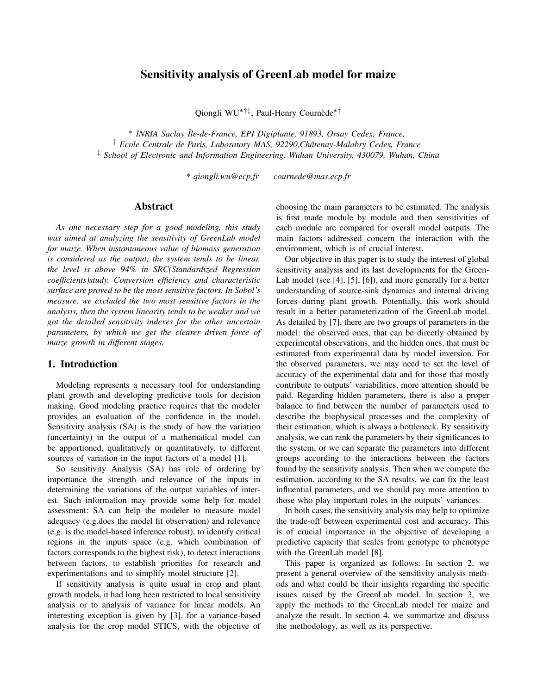# Sensitivity analysis of GreenLab model for maize

Qiongli WU<sup>∗†‡</sup>, Paul-Henry Cournède<sup>\*†</sup>

∗ *INRIA Saclay ˆIle-de-France, EPI Digiplante, 91893, Orsay Cedex, France,* † *Ecole Centrale de Paris, Laboratory MAS, 92290,Chatenay-Malabry Cedex, France ˆ* ‡ *School of Electronic and Information Engineering, Wuhan University, 430079, Wuhan, China*

*\* qiongli.wu@ecp.fr cournede@mas.ecp.fr*

#### Abstract

*As one necessary step for a good modeling, this study was aimed at analyzing the sensitivity of GreenLab model for maize. When instantaneous value of biomass generation is considered as the output, the system tends to be linear, the level is above 94% in SRC(Standardized Regression coefficients)study. Conversion efficiency and characteristic surface are proved to be the most sensitive factors. In Sobol's measure, we excluded the two most sensitive factors in the analysis, then the system linearity tends to be weaker and we got the detailed sensitivity indexes for the other uncertain parameters, by which we get the clearer driven force of maize growth in different stages.*

#### 1. Introduction

Modeling represents a necessary tool for understanding plant growth and developing predictive tools for decision making. Good modeling practice requires that the modeler provides an evaluation of the confidence in the model. Sensitivity analysis (SA) is the study of how the variation (uncertainty) in the output of a mathematical model can be apportioned, qualitatively or quantitatively, to different sources of variation in the input factors of a model [1].

So sensitivity Analysis (SA) has role of ordering by importance the strength and relevance of the inputs in determining the variations of the output variables of interest. Such information may provide some help for model assessment: SA can help the modeler to measure model adequacy (e.g.does the model fit observation) and relevance (e.g. is the model-based inference robust), to identify critical regions in the inputs space (e.g. which combination of factors corresponds to the highest risk), to detect interactions between factors, to establish priorities for research and experimentations and to simplify model structure [2].

If sensitivity analysis is quite usual in crop and plant growth models, it had long been restricted to local sensitivity analysis or to analysis of variance for linear models. An interesting exception is given by [3], for a variance-based analysis for the crop model STICS, with the objective of choosing the main parameters to be estimated. The analysis is first made module by module and then sensitivities of each module are compared for overall model outputs. The main factors addressed concern the interaction with the environment, which is of crucial interest.

Our objective in this paper is to study the interest of global sensitivity analysis and its last developments for the Green-Lab model (see [4], [5], [6]), and more generally for a better understanding of source-sink dynamics and internal driving forces during plant growth. Potentially, this work should result in a better parameterization of the GreenLab model. As detailed by [7], there are two groups of parameters in the model: the observed ones, that can be directly obtained by experimental observations, and the hidden ones, that must be estimated from experimental data by model inversion. For the observed parameters, we may need to set the level of accuracy of the experimental data and for those that mostly contribute to outputs' variabilities, more attention should be paid. Regarding hidden parameters, there is also a proper balance to find between the number of parameters used to describe the biophysical processes and the complexity of their estimation, which is always a bottleneck. By sensitivity analysis, we can rank the parameters by their significances to the system, or we can separate the parameters into different groups according to the interactions between the factors found by the sensitivity analysis. Then when we compute the estimation, according to the SA results, we can fix the least influential parameters, and we should pay more attention to those who play important roles in the outputs' variances.

In both cases, the sensitivity analysis may help to optimize the trade-off between experimental cost and accuracy. This is of crucial importance in the objective of developing a predictive capacity that scales from genotype to phenotype with the GreenLab model [8].

This paper is organized as follows: In section 2, we present a general overview of the sensitivity analysis methods and what could be their insights regarding the specific issues raised by the GreenLab model. In section 3, we apply the methods to the GreenLab model for maize and analyze the result. In section 4, we summarize and discuss the methodology, as well as its perspective.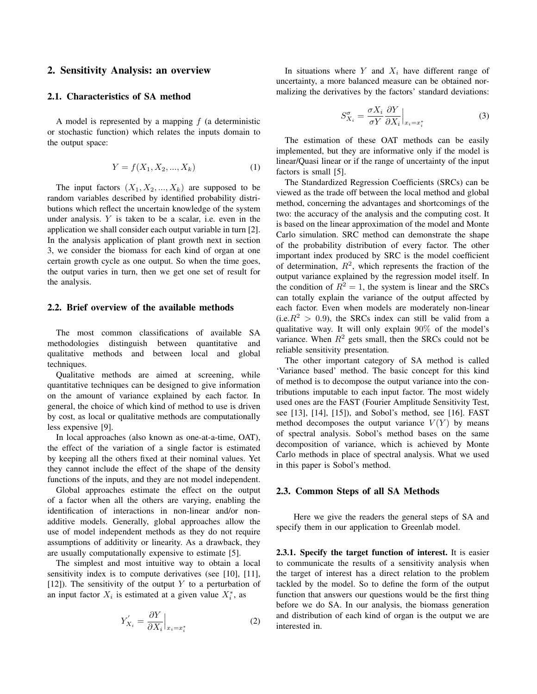### 2. Sensitivity Analysis: an overview

#### 2.1. Characteristics of SA method

A model is represented by a mapping  $f$  (a deterministic or stochastic function) which relates the inputs domain to the output space:

$$
Y = f(X_1, X_2, ..., X_k)
$$
 (1)

The input factors  $(X_1, X_2, ..., X_k)$  are supposed to be random variables described by identified probability distributions which reflect the uncertain knowledge of the system under analysis.  $Y$  is taken to be a scalar, i.e. even in the application we shall consider each output variable in turn [2]. In the analysis application of plant growth next in section 3, we consider the biomass for each kind of organ at one certain growth cycle as one output. So when the time goes, the output varies in turn, then we get one set of result for the analysis.

#### 2.2. Brief overview of the available methods

The most common classifications of available SA methodologies distinguish between quantitative and qualitative methods and between local and global techniques.

Qualitative methods are aimed at screening, while quantitative techniques can be designed to give information on the amount of variance explained by each factor. In general, the choice of which kind of method to use is driven by cost, as local or qualitative methods are computationally less expensive [9].

In local approaches (also known as one-at-a-time, OAT), the effect of the variation of a single factor is estimated by keeping all the others fixed at their nominal values. Yet they cannot include the effect of the shape of the density functions of the inputs, and they are not model independent.

Global approaches estimate the effect on the output of a factor when all the others are varying, enabling the identification of interactions in non-linear and/or nonadditive models. Generally, global approaches allow the use of model independent methods as they do not require assumptions of additivity or linearity. As a drawback, they are usually computationally expensive to estimate [5].

The simplest and most intuitive way to obtain a local sensitivity index is to compute derivatives (see [10], [11], [12]). The sensitivity of the output Y to a perturbation of an input factor  $X_i$  is estimated at a given value  $X_i^*$ , as

$$
Y'_{X_i} = \frac{\partial Y}{\partial X_i} \Big|_{x_i = x_i^*}
$$
 (2)

In situations where Y and  $X_i$  have different range of uncertainty, a more balanced measure can be obtained normalizing the derivatives by the factors' standard deviations:

$$
S_{X_i}^{\sigma} = \frac{\sigma X_i}{\sigma Y} \frac{\partial Y}{\partial X_i} \Big|_{x_i = x_i^*}
$$
 (3)

The estimation of these OAT methods can be easily implemented, but they are informative only if the model is linear/Quasi linear or if the range of uncertainty of the input factors is small [5].

The Standardized Regression Coefficients (SRCs) can be viewed as the trade off between the local method and global method, concerning the advantages and shortcomings of the two: the accuracy of the analysis and the computing cost. It is based on the linear approximation of the model and Monte Carlo simulation. SRC method can demonstrate the shape of the probability distribution of every factor. The other important index produced by SRC is the model coefficient of determination,  $R^2$ , which represents the fraction of the output variance explained by the regression model itself. In the condition of  $R^2 = 1$ , the system is linear and the SRCs can totally explain the variance of the output affected by each factor. Even when models are moderately non-linear  $(i.e. R<sup>2</sup> > 0.9)$ , the SRCs index can still be valid from a qualitative way. It will only explain 90% of the model's variance. When  $R^2$  gets small, then the SRCs could not be reliable sensitivity presentation.

The other important category of SA method is called 'Variance based' method. The basic concept for this kind of method is to decompose the output variance into the contributions imputable to each input factor. The most widely used ones are the FAST (Fourier Amplitude Sensitivity Test, see [13], [14], [15]), and Sobol's method, see [16]. FAST method decomposes the output variance  $V(Y)$  by means of spectral analysis. Sobol's method bases on the same decomposition of variance, which is achieved by Monte Carlo methods in place of spectral analysis. What we used in this paper is Sobol's method.

#### 2.3. Common Steps of all SA Methods

Here we give the readers the general steps of SA and specify them in our application to Greenlab model.

2.3.1. Specify the target function of interest. It is easier to communicate the results of a sensitivity analysis when the target of interest has a direct relation to the problem tackled by the model. So to define the form of the output function that answers our questions would be the first thing before we do SA. In our analysis, the biomass generation and distribution of each kind of organ is the output we are interested in.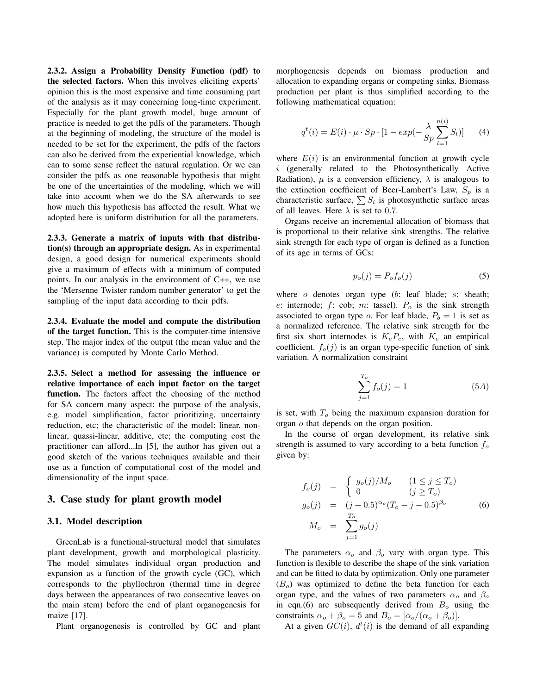2.3.2. Assign a Probability Density Function (pdf) to the selected factors. When this involves eliciting experts' opinion this is the most expensive and time consuming part of the analysis as it may concerning long-time experiment. Especially for the plant growth model, huge amount of practice is needed to get the pdfs of the parameters. Though at the beginning of modeling, the structure of the model is needed to be set for the experiment, the pdfs of the factors can also be derived from the experiential knowledge, which can to some sense reflect the natural regulation. Or we can consider the pdfs as one reasonable hypothesis that might be one of the uncertainties of the modeling, which we will take into account when we do the SA afterwards to see how much this hypothesis has affected the result. What we adopted here is uniform distribution for all the parameters.

2.3.3. Generate a matrix of inputs with that distribution(s) through an appropriate design. As in experimental design, a good design for numerical experiments should give a maximum of effects with a minimum of computed points. In our analysis in the environment of C++, we use the 'Mersenne Twister random number generator' to get the sampling of the input data according to their pdfs.

2.3.4. Evaluate the model and compute the distribution of the target function. This is the computer-time intensive step. The major index of the output (the mean value and the variance) is computed by Monte Carlo Method.

2.3.5. Select a method for assessing the influence or relative importance of each input factor on the target function. The factors affect the choosing of the method for SA concern many aspect: the purpose of the analysis, e.g. model simplification, factor prioritizing, uncertainty reduction, etc; the characteristic of the model: linear, nonlinear, quassi-linear, additive, etc; the computing cost the practitioner can afford...In [5], the author has given out a good sketch of the various techniques available and their use as a function of computational cost of the model and dimensionality of the input space.

#### 3. Case study for plant growth model

#### 3.1. Model description

GreenLab is a functional-structural model that simulates plant development, growth and morphological plasticity. The model simulates individual organ production and expansion as a function of the growth cycle (GC), which corresponds to the phyllochron (thermal time in degree days between the appearances of two consecutive leaves on the main stem) before the end of plant organogenesis for maize [17].

Plant organogenesis is controlled by GC and plant

morphogenesis depends on biomass production and allocation to expanding organs or competing sinks. Biomass production per plant is thus simplified according to the following mathematical equation:

$$
q^{t}(i) = E(i) \cdot \mu \cdot Sp \cdot [1 - exp(-\frac{\lambda}{Sp} \sum_{l=1}^{n(i)} S_{l})]
$$
 (4)

where  $E(i)$  is an environmental function at growth cycle i (generally related to the Photosynthetically Active Radiation),  $\mu$  is a conversion efficiency,  $\lambda$  is analogous to the extinction coefficient of Beer-Lambert's Law,  $S_p$  is a characteristic surface,  $\sum S_l$  is photosynthetic surface areas of all leaves. Here  $\lambda$  is set to 0.7.

Organs receive an incremental allocation of biomass that is proportional to their relative sink strengths. The relative sink strength for each type of organ is defined as a function of its age in terms of GCs:

$$
p_o(j) = P_o f_o(j) \tag{5}
$$

where o denotes organ type (b: leaf blade; s: sheath; e: internode;  $f$ : cob; m: tassel).  $P<sub>o</sub>$  is the sink strength associated to organ type o. For leaf blade,  $P_b = 1$  is set as a normalized reference. The relative sink strength for the first six short internodes is  $K_eP_e$ , with  $K_e$  an empirical coefficient.  $f_o(j)$  is an organ type-specific function of sink variation. A normalization constraint

$$
\sum_{j=1}^{T_o} f_o(j) = 1
$$
 (5A)

is set, with  $T<sub>o</sub>$  being the maximum expansion duration for organ o that depends on the organ position.

In the course of organ development, its relative sink strength is assumed to vary according to a beta function  $f<sub>o</sub>$ given by:

$$
f_o(j) = \begin{cases} g_o(j)/M_o & (1 \le j \le T_o) \\ 0 & (j \ge T_o) \end{cases}
$$
  
\n
$$
g_o(j) = (j + 0.5)^{\alpha_o} (T_o - j - 0.5)^{\beta_o}
$$
  
\n
$$
M_o = \sum_{j=1}^{T_o} g_o(j)
$$
 (6)

The parameters  $\alpha_o$  and  $\beta_o$  vary with organ type. This function is flexible to describe the shape of the sink variation and can be fitted to data by optimization. Only one parameter  $(B<sub>o</sub>)$  was optimized to define the beta function for each organ type, and the values of two parameters  $\alpha_o$  and  $\beta_o$ in eqn.(6) are subsequently derived from  $B<sub>o</sub>$  using the constraints  $\alpha_o + \beta_o = 5$  and  $B_o = [\alpha_o/(\alpha_o + \beta_o)].$ 

At a given  $GC(i)$ ,  $d^{t}(i)$  is the demand of all expanding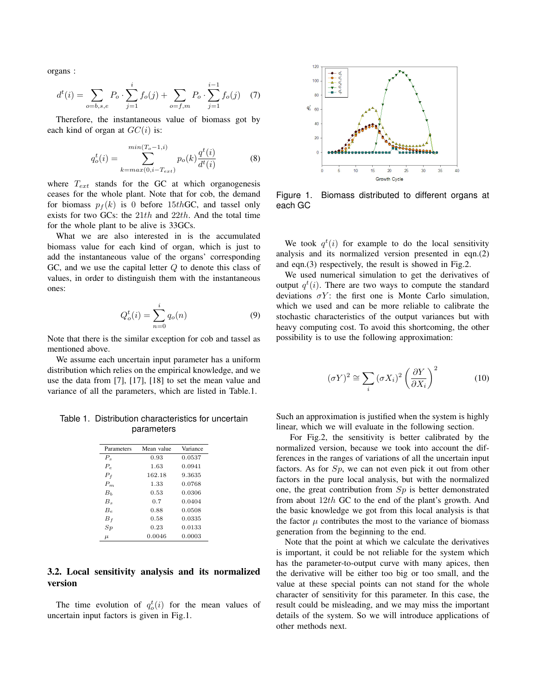organs :

$$
d^{t}(i) = \sum_{o=b,s,e} P_o \cdot \sum_{j=1}^{i} f_o(j) + \sum_{o=f,m} P_o \cdot \sum_{j=1}^{i-1} f_o(j) \quad (7)
$$

Therefore, the instantaneous value of biomass got by each kind of organ at  $GC(i)$  is:

$$
q_o^t(i) = \sum_{k=max(0,i-T_{ext})}^{min(T_o-1,i)} p_o(k) \frac{q^t(i)}{d^t(i)}
$$
(8)

where  $T_{ext}$  stands for the GC at which organogenesis ceases for the whole plant. Note that for cob, the demand for biomass  $p_f(k)$  is 0 before 15th GC, and tassel only exists for two GCs: the  $21th$  and  $22th$ . And the total time for the whole plant to be alive is 33GCs.

What we are also interested in is the accumulated biomass value for each kind of organ, which is just to add the instantaneous value of the organs' corresponding GC, and we use the capital letter Q to denote this class of values, in order to distinguish them with the instantaneous ones:

$$
Q_o^t(i) = \sum_{n=0}^{i} q_o(n)
$$
 (9)

Note that there is the similar exception for cob and tassel as mentioned above.

We assume each uncertain input parameter has a uniform distribution which relies on the empirical knowledge, and we use the data from [7], [17], [18] to set the mean value and variance of all the parameters, which are listed in Table.1.

Table 1. Distribution characteristics for uncertain parameters

| Parameters     | Mean value | Variance |
|----------------|------------|----------|
| $P_{\rm e}$    | 0.93       | 0.0537   |
| $P_e$          | 1.63       | 0.0941   |
| $P_f$          | 162.18     | 9.3635   |
| $P_m$          | 1.33       | 0.0768   |
| B <sub>b</sub> | 0.53       | 0.0306   |
| $B_{\rm s}$    | 0.7        | 0.0404   |
| $B_{\epsilon}$ | 0.88       | 0.0508   |
| $B_f$          | 0.58       | 0.0335   |
| $_{Sp}$        | 0.23       | 0.0133   |
| $\mu$          | 0.0046     | 0.0003   |

## 3.2. Local sensitivity analysis and its normalized version

The time evolution of  $q_o^t(i)$  for the mean values of uncertain input factors is given in Fig.1.



Figure 1. Biomass distributed to different organs at each GC

We took  $q^t(i)$  for example to do the local sensitivity analysis and its normalized version presented in eqn.(2) and eqn.(3) respectively, the result is showed in Fig.2.

We used numerical simulation to get the derivatives of output  $q^t(i)$ . There are two ways to compute the standard deviations  $\sigma Y$ : the first one is Monte Carlo simulation, which we used and can be more reliable to calibrate the stochastic characteristics of the output variances but with heavy computing cost. To avoid this shortcoming, the other possibility is to use the following approximation:

$$
(\sigma Y)^2 \cong \sum_i (\sigma X_i)^2 \left(\frac{\partial Y}{\partial X_i}\right)^2 \tag{10}
$$

Such an approximation is justified when the system is highly linear, which we will evaluate in the following section.

For Fig.2, the sensitivity is better calibrated by the normalized version, because we took into account the differences in the ranges of variations of all the uncertain input factors. As for  $Sp$ , we can not even pick it out from other factors in the pure local analysis, but with the normalized one, the great contribution from  $Sp$  is better demonstrated from about 12th GC to the end of the plant's growth. And the basic knowledge we got from this local analysis is that the factor  $\mu$  contributes the most to the variance of biomass generation from the beginning to the end.

Note that the point at which we calculate the derivatives is important, it could be not reliable for the system which has the parameter-to-output curve with many apices, then the derivative will be either too big or too small, and the value at these special points can not stand for the whole character of sensitivity for this parameter. In this case, the result could be misleading, and we may miss the important details of the system. So we will introduce applications of other methods next.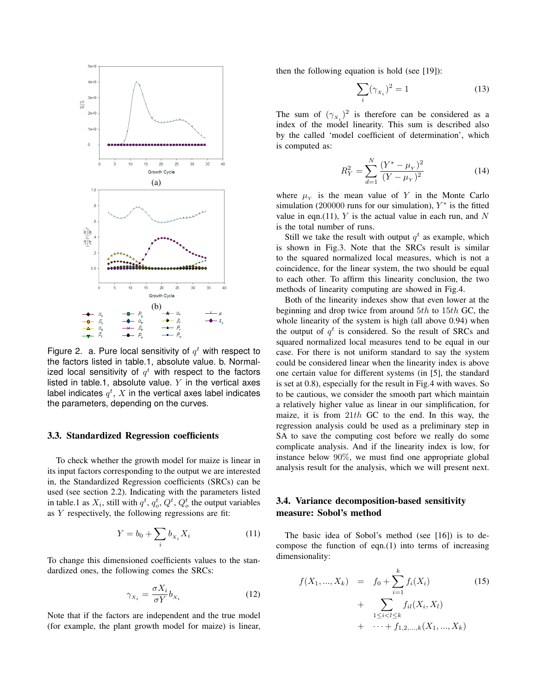

Figure 2. a. Pure local sensitivity of  $q<sup>t</sup>$  with respect to the factors listed in table.1, absolute value. b. Normalized local sensitivity of  $q^t$  with respect to the factors listed in table.1, absolute value.  $Y$  in the vertical axes label indicates  $q^t,\,X$  in the vertical axes label indicates the parameters, depending on the curves.

#### 3.3. Standardized Regression coefficients

To check whether the growth model for maize is linear in its input factors corresponding to the output we are interested in, the Standardized Regression coefficients (SRCs) can be used (see section 2.2). Indicating with the parameters listed in table.1 as  $X_i$ , still with  $q^t$ ,  $q^t_o$ ,  $Q^t$ ,  $Q^t_o$  the output variables as Y respectively, the following regressions are fit:

$$
Y = b_0 + \sum_i b_{x_i} X_i \tag{11}
$$

To change this dimensioned coefficients values to the standardized ones, the following comes the SRCs:

$$
\gamma_{x_i} = \frac{\sigma X_i}{\sigma Y} b_{x_i} \tag{12}
$$

Note that if the factors are independent and the true model (for example, the plant growth model for maize) is linear, then the following equation is hold (see [19]):

$$
\sum_{i} (\gamma_{x_i})^2 = 1 \tag{13}
$$

The sum of  $(\gamma_{x_i})^2$  is therefore can be considered as a index of the model linearity. This sum is described also by the called 'model coefficient of determination', which is computed as:

$$
R_Y^2 = \sum_{d=1}^N \frac{(Y^* - \mu_Y)^2}{(Y - \mu_Y)^2}
$$
 (14)

where  $\mu_Y$  is the mean value of Y in the Monte Carlo simulation (200000 runs for our simulation),  $Y^*$  is the fitted value in eqn.(11),  $Y$  is the actual value in each run, and  $N$ is the total number of runs.

Still we take the result with output  $q^t$  as example, which is shown in Fig.3. Note that the SRCs result is similar to the squared normalized local measures, which is not a coincidence, for the linear system, the two should be equal to each other. To affirm this linearity conclusion, the two methods of linearity computing are showed in Fig.4.

Both of the linearity indexes show that even lower at the beginning and drop twice from around  $5th$  to  $15th$  GC, the whole linearity of the system is high (all above 0.94) when the output of  $q^t$  is considered. So the result of SRCs and squared normalized local measures tend to be equal in our case. For there is not uniform standard to say the system could be considered linear when the linearity index is above one certain value for different systems (in [5], the standard is set at 0.8), especially for the result in Fig.4 with waves. So to be cautious, we consider the smooth part which maintain a relatively higher value as linear in our simplification, for maize, it is from  $21th$  GC to the end. In this way, the regression analysis could be used as a preliminary step in SA to save the computing cost before we really do some complicate analysis. And if the linearity index is low, for instance below 90%, we must find one appropriate global analysis result for the analysis, which we will present next.

## 3.4. Variance decomposition-based sensitivity measure: Sobol's method

The basic idea of Sobol's method (see [16]) is to decompose the function of eqn. $(1)$  into terms of increasing dimensionality:

$$
f(X_1, ..., X_k) = f_0 + \sum_{i=1}^k f_i(X_i)
$$
(15)  
+ 
$$
\sum_{1 \le i < l \le k} f_{il}(X_i, X_l)
$$
  
+ 
$$
\cdots + f_{1,2,...,k}(X_1, ..., X_k)
$$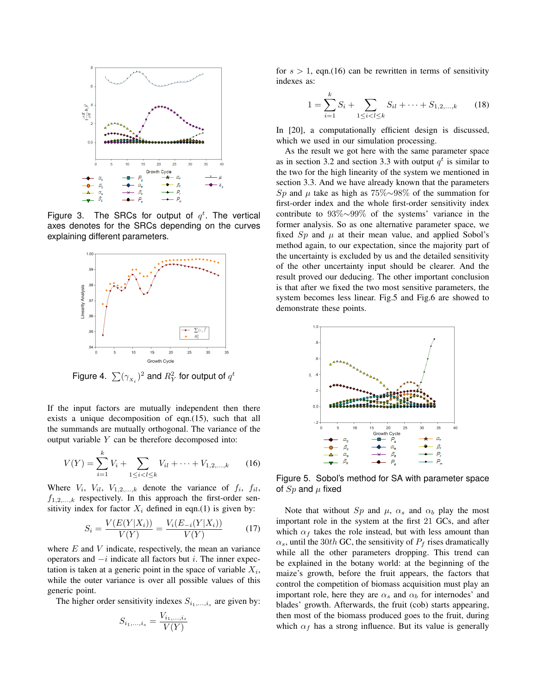

Figure 3. The SRCs for output of  $q^t$ . The vertical axes denotes for the SRCs depending on the curves explaining different parameters.



Figure 4.  $\sum (\gamma_{\overline{X}_i})^2$  and  $R^2_Y$  for output of  $q^t$ 

If the input factors are mutually independent then there exists a unique decomposition of eqn.(15), such that all the summands are mutually orthogonal. The variance of the output variable Y can be therefore decomposed into:

$$
V(Y) = \sum_{i=1}^{k} V_i + \sum_{1 \le i < l \le k} V_{il} + \dots + V_{1,2,\dots,k} \tag{16}
$$

Where  $V_i$ ,  $V_{il}$ ,  $V_{1,2,...,k}$  denote the variance of  $f_i$ ,  $f_{il}$ ,  $f_{1,2,...,k}$  respectively. In this approach the first-order sensitivity index for factor  $X_i$  defined in eqn.(1) is given by:

$$
S_i = \frac{V(E(Y|X_i))}{V(Y)} = \frac{V_i(E_{-i}(Y|X_i))}{V(Y)}
$$
(17)

where  $E$  and  $V$  indicate, respectively, the mean an variance operators and  $-i$  indicate all factors but *i*. The inner expectation is taken at a generic point in the space of variable  $X_i$ , while the outer variance is over all possible values of this generic point.

The higher order sensitivity indexes  $S_{i_1,\dots,i_s}$  are given by:

$$
S_{i_1,\ldots,i_s} = \frac{V_{i_1,\ldots,i_s}}{V(Y)}
$$

for  $s > 1$ , eqn.(16) can be rewritten in terms of sensitivity indexes as:

$$
1 = \sum_{i=1}^{k} S_i + \sum_{1 \le i < l \le k} S_{il} + \dots + S_{1,2,\dots,k} \tag{18}
$$

In [20], a computationally efficient design is discussed, which we used in our simulation processing.

As the result we got here with the same parameter space as in section 3.2 and section 3.3 with output  $q<sup>t</sup>$  is similar to the two for the high linearity of the system we mentioned in section 3.3. And we have already known that the parameters Sp and  $\mu$  take as high as 75%∼98% of the summation for first-order index and the whole first-order sensitivity index contribute to 93%∼99% of the systems' variance in the former analysis. So as one alternative parameter space, we fixed  $Sp$  and  $\mu$  at their mean value, and applied Sobol's method again, to our expectation, since the majority part of the uncertainty is excluded by us and the detailed sensitivity of the other uncertainty input should be clearer. And the result proved our deducing. The other important conclusion is that after we fixed the two most sensitive parameters, the system becomes less linear. Fig.5 and Fig.6 are showed to demonstrate these points.



Figure 5. Sobol's method for SA with parameter space of  $Sp$  and  $\mu$  fixed

Note that without  $Sp$  and  $\mu$ ,  $\alpha_s$  and  $\alpha_b$  play the most important role in the system at the first 21 GCs, and after which  $\alpha_f$  takes the role instead, but with less amount than  $\alpha_s$ , until the 30th GC, the sensitivity of  $P_f$  rises dramatically while all the other parameters dropping. This trend can be explained in the botany world: at the beginning of the maize's growth, before the fruit appears, the factors that control the competition of biomass acquisition must play an important role, here they are  $\alpha_s$  and  $\alpha_b$  for internodes' and blades' growth. Afterwards, the fruit (cob) starts appearing, then most of the biomass produced goes to the fruit, during which  $\alpha_f$  has a strong influence. But its value is generally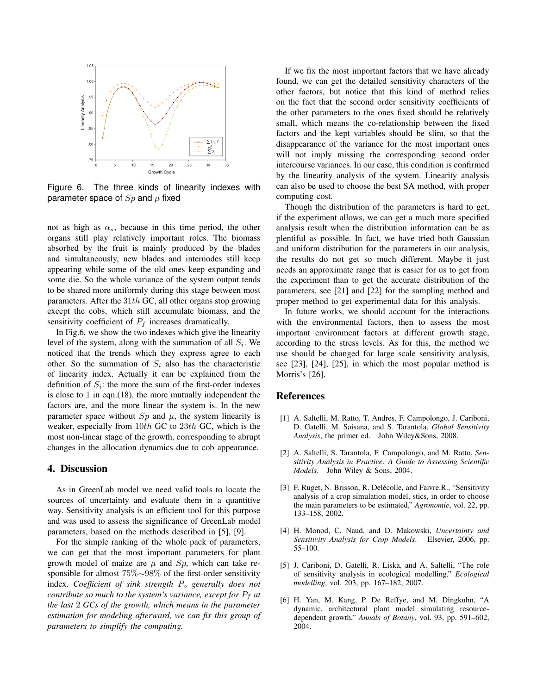

Figure 6. The three kinds of linearity indexes with parameter space of  $Sp$  and  $\mu$  fixed

not as high as  $\alpha_s$ , because in this time period, the other organs still play relatively important roles. The biomass absorbed by the fruit is mainly produced by the blades and simultaneously, new blades and internodes still keep appearing while some of the old ones keep expanding and some die. So the whole variance of the system output tends to be shared more uniformly during this stage between most parameters. After the  $31th$  GC, all other organs stop growing except the cobs, which still accumulate biomass, and the sensitivity coefficient of  $P_f$  increases dramatically.

In Fig.6, we show the two indexes which give the linearity level of the system, along with the summation of all  $S_i$ . We noticed that the trends which they express agree to each other. So the summation of  $S_i$  also has the characteristic of linearity index. Actually it can be explained from the definition of  $S_i$ : the more the sum of the first-order indexes is close to 1 in eqn.(18), the more mutually independent the factors are, and the more linear the system is. In the new parameter space without  $Sp$  and  $\mu$ , the system linearity is weaker, especially from 10th GC to 23th GC, which is the most non-linear stage of the growth, corresponding to abrupt changes in the allocation dynamics due to cob appearance.

#### 4. Discussion

As in GreenLab model we need valid tools to locate the sources of uncertainty and evaluate them in a quantitive way. Sensitivity analysis is an efficient tool for this purpose and was used to assess the significance of GreenLab model parameters, based on the methods described in [5], [9].

For the simple ranking of the whole pack of parameters, we can get that the most important parameters for plant growth model of maize are  $\mu$  and  $Sp$ , which can take responsible for almost 75%∼98% of the first-order sensitivity index. *Coefficient of sink strength*  $P_0$  *generally does not contribute so much to the system's variance, except for*  $P_f$  *at the last* 2 *GCs of the growth, which means in the parameter estimation for modeling afterward, we can fix this group of parameters to simplify the computing.*

If we fix the most important factors that we have already found, we can get the detailed sensitivity characters of the other factors, but notice that this kind of method relies on the fact that the second order sensitivity coefficients of the other parameters to the ones fixed should be relatively small, which means the co-relationship between the fixed factors and the kept variables should be slim, so that the disappearance of the variance for the most important ones will not imply missing the corresponding second order intercourse variances. In our case, this condition is confirmed by the linearity analysis of the system. Linearity analysis can also be used to choose the best SA method, with proper computing cost.

Though the distribution of the parameters is hard to get, if the experiment allows, we can get a much more specified analysis result when the distribution information can be as plentiful as possible. In fact, we have tried both Gaussian and uniform distribution for the parameters in our analysis, the results do not get so much different. Maybe it just needs an approximate range that is easier for us to get from the experiment than to get the accurate distribution of the parameters, see [21] and [22] for the sampling method and proper method to get experimental data for this analysis.

In future works, we should account for the interactions with the environmental factors, then to assess the most important environment factors at different growth stage, according to the stress levels. As for this, the method we use should be changed for large scale sensitivity analysis, see [23], [24], [25], in which the most popular method is Morris's [26].

### References

- [1] A. Saltelli, M. Ratto, T. Andres, F. Campolongo, J. Cariboni, D. Gatelli, M. Saisana, and S. Tarantola, *Global Sensitivity Analysis*, the primer ed. John Wiley&Sons, 2008.
- [2] A. Saltelli, S. Tarantola, F. Campolongo, and M. Ratto, *Sensitivity Analysis in Practice: A Guide to Assessing Scientific Models*. John Wiley & Sons, 2004.
- [3] F. Ruget, N. Brisson, R. Delécolle, and Faivre.R., "Sensitivity analysis of a crop simulation model, stics, in order to choose the main parameters to be estimated," *Agronomie*, vol. 22, pp. 133–158, 2002.
- [4] H. Monod, C. Naud, and D. Makowski, *Uncertainty and Sensitivity Analysis for Crop Models*. Elsevier, 2006, pp. 55–100.
- [5] J. Cariboni, D. Gatelli, R. Liska, and A. Saltelli, "The role of sensitivity analysis in ecological modelling," *Ecological modelling*, vol. 203, pp. 167–182, 2007.
- [6] H. Yan, M. Kang, P. De Reffye, and M. Dingkuhn, "A dynamic, architectural plant model simulating resourcedependent growth," *Annals of Botany*, vol. 93, pp. 591–602, 2004.